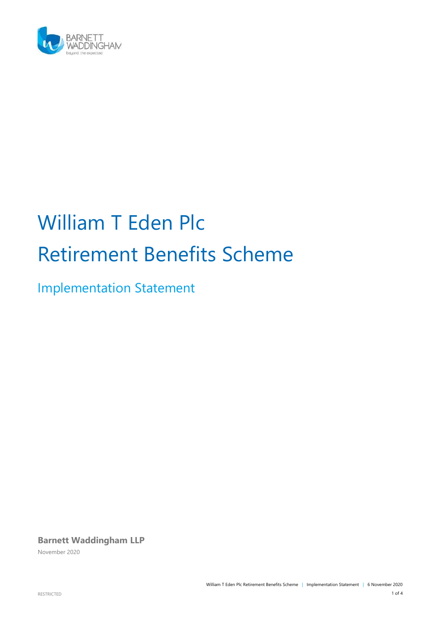

# William T Eden Plc Retirement Benefits Scheme

Implementation Statement

**Barnett Waddingham LLP**

November 2020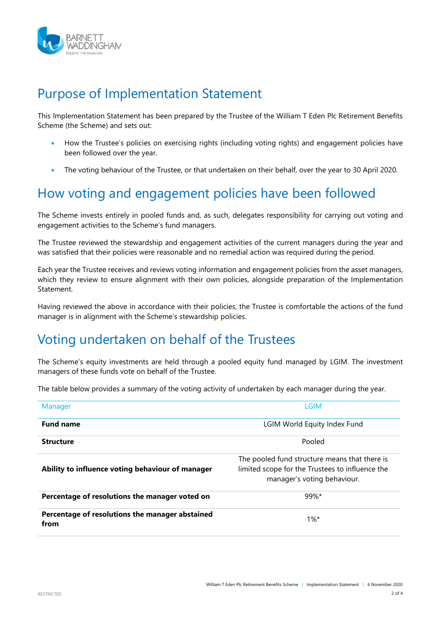

#### Purpose of Implementation Statement

This Implementation Statement has been prepared by the Trustee of the William T Eden Plc Retirement Benefits Scheme (the Scheme) and sets out:

- How the Trustee's policies on exercising rights (including voting rights) and engagement policies have been followed over the year.
- The voting behaviour of the Trustee, or that undertaken on their behalf, over the year to 30 April 2020.

## How voting and engagement policies have been followed

The Scheme invests entirely in pooled funds and, as such, delegates responsibility for carrying out voting and engagement activities to the Scheme's fund managers.

The Trustee reviewed the stewardship and engagement activities of the current managers during the year and was satisfied that their policies were reasonable and no remedial action was required during the period.

Each year the Trustee receives and reviews voting information and engagement policies from the asset managers, which they review to ensure alignment with their own policies, alongside preparation of the Implementation **Statement** 

Having reviewed the above in accordance with their policies, the Trustee is comfortable the actions of the fund manager is in alignment with the Scheme's stewardship policies.

## Voting undertaken on behalf of the Trustees

The Scheme's equity investments are held through a pooled equity fund managed by LGIM. The investment managers of these funds vote on behalf of the Trustee.

The table below provides a summary of the voting activity of undertaken by each manager during the year.

| Manager                                                 | <b>LGIM</b>                                                                                                                     |  |
|---------------------------------------------------------|---------------------------------------------------------------------------------------------------------------------------------|--|
| <b>Fund name</b>                                        | LGIM World Equity Index Fund                                                                                                    |  |
| <b>Structure</b>                                        | Pooled                                                                                                                          |  |
| Ability to influence voting behaviour of manager        | The pooled fund structure means that there is<br>limited scope for the Trustees to influence the<br>manager's voting behaviour. |  |
| Percentage of resolutions the manager voted on          | $99\%$ *                                                                                                                        |  |
| Percentage of resolutions the manager abstained<br>from | $1\%$ *                                                                                                                         |  |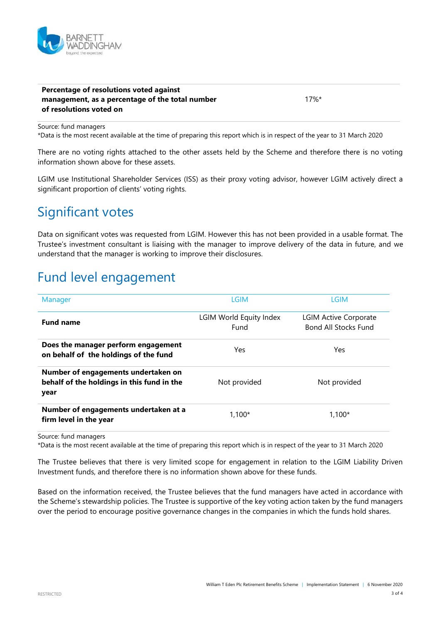

#### **Percentage of resolutions voted against management, as a percentage of the total number of resolutions voted on**

17%\*

Source: fund managers

\*Data is the most recent available at the time of preparing this report which is in respect of the year to 31 March 2020

There are no voting rights attached to the other assets held by the Scheme and therefore there is no voting information shown above for these assets.

LGIM use Institutional Shareholder Services (ISS) as their proxy voting advisor, however LGIM actively direct a significant proportion of clients' voting rights.

#### Significant votes

Data on significant votes was requested from LGIM. However this has not been provided in a usable format. The Trustee's investment consultant is liaising with the manager to improve delivery of the data in future, and we understand that the manager is working to improve their disclosures.

## Fund level engagement

| Manager                                                                                   | <b>LGIM</b>                     | <b>LGIM</b>                                                 |
|-------------------------------------------------------------------------------------------|---------------------------------|-------------------------------------------------------------|
| <b>Fund name</b>                                                                          | LGIM World Equity Index<br>Fund | <b>LGIM Active Corporate</b><br><b>Bond All Stocks Fund</b> |
| Does the manager perform engagement<br>on behalf of the holdings of the fund              | Yes                             | Yes                                                         |
| Number of engagements undertaken on<br>behalf of the holdings in this fund in the<br>year | Not provided                    | Not provided                                                |
| Number of engagements undertaken at a<br>firm level in the year                           | $1.100*$                        | $1.100*$                                                    |

Source: fund managers

\*Data is the most recent available at the time of preparing this report which is in respect of the year to 31 March 2020

The Trustee believes that there is very limited scope for engagement in relation to the LGIM Liability Driven Investment funds, and therefore there is no information shown above for these funds.

Based on the information received, the Trustee believes that the fund managers have acted in accordance with the Scheme's stewardship policies. The Trustee is supportive of the key voting action taken by the fund managers over the period to encourage positive governance changes in the companies in which the funds hold shares.